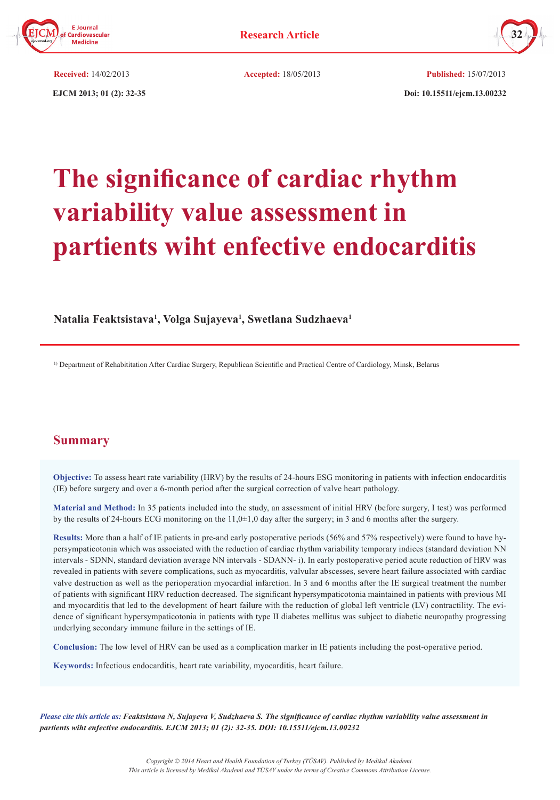



 **EJCM 2013; 01 (2): 32-35 Doi: 10.15511/ejcm.13.00232 Received:** 14/02/2013 **Accepted:** 18/05/2013 **Published:** 15/07/2013

# **The significance of cardiac rhythm variability value assessment in partients wiht enfective endocarditis**

# **Natalia Feaktsistava1 , Volga Sujayeva<sup>1</sup> , Swetlana Sudzhaeva<sup>1</sup>**

1) Department of Rehabititation After Cardiac Surgery, Republican Scientific and Practical Centre of Cardiology, Minsk, Belarus

# **Summary**

**Objective:** To assess heart rate variability (HRV) by the results of 24-hours ESG monitoring in patients with infection endocarditis (IE) before surgery and over a 6-month period after the surgical correction of valve heart pathology.

**Material and Method:** In 35 patients included into the study, an assessment of initial HRV (before surgery, I test) was performed by the results of 24-hours ECG monitoring on the 11,0±1,0 day after the surgery; in 3 and 6 months after the surgery.

**Results:** More than a half of IE patients in pre-and early postoperative periods (56% and 57% respectively) were found to have hypersympaticotonia which was associated with the reduction of cardiac rhythm variability temporary indices (standard deviation NN intervals - SDNN, standard deviation average NN intervals - SDANN- i). In early postoperative period acute reduction of HRV was revealed in patients with severe complications, such as myocarditis, valvular abscesses, severe heart failure associated with cardiac valve destruction as well as the perioperation myocardial infarction. In 3 and 6 months after the IE surgical treatment the number of patients with significant HRV reduction decreased. The significant hypersympaticotonia maintained in patients with previous MI and myocarditis that led to the development of heart failure with the reduction of global left ventricle (LV) contractility. The evidence of significant hypersympaticotonia in patients with type II diabetes mellitus was subject to diabetic neuropathy progressing underlying secondary immune failure in the settings of IE.

**Conclusion:** The low level of HRV can be used as a complication marker in IE patients including the post-operative period.

**Keywords:** Infectious endocarditis, heart rate variability, myocarditis, heart failure.

*Please cite this article as: Feaktsistava N, Sujayeva V, Sudzhaeva S. The significance of cardiac rhythm variability value assessment in partients wiht enfective endocarditis. EJCM 2013; 01 (2): 32-35. DOI: 10.15511/ejcm.13.00232*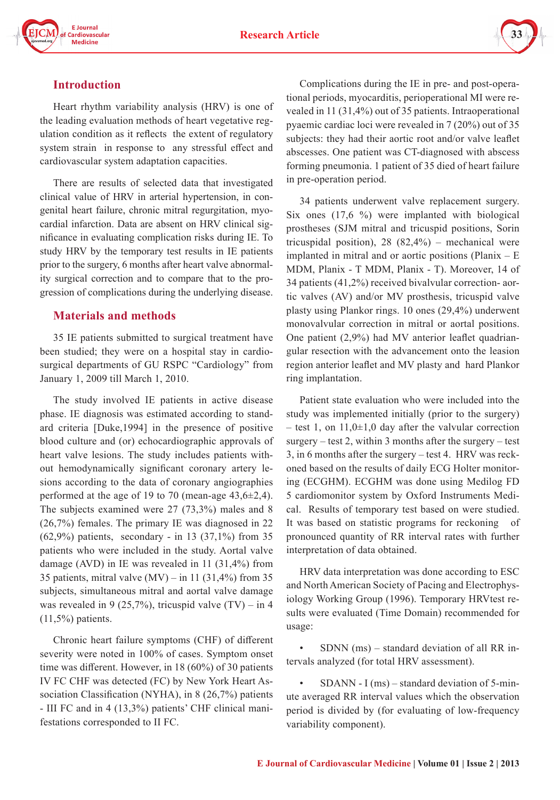

# **Introduction**

Heart rhythm variability analysis (HRV) is one of the leading evaluation methods of heart vegetative regulation condition as it reflects the extent of regulatory system strain in response to any stressful effect and cardiovascular system adaptation capacities.

There are results of selected data that investigated clinical value of HRV in arterial hypertension, in congenital heart failure, chronic mitral regurgitation, myocardial infarction. Data are absent on HRV clinical significance in evaluating complication risks during IE. To study HRV by the temporary test results in IE patients prior to the surgery, 6 months after heart valve abnormality surgical correction and to compare that to the progression of complications during the underlying disease.

# **Materials and methods**

35 IE patients submitted to surgical treatment have been studied; they were on a hospital stay in cardiosurgical departments of GU RSPC "Cardiology" from January 1, 2009 till March 1, 2010.

The study involved IE patients in active disease phase. IE diagnosis was estimated according to standard criteria [Duke,1994] in the presence of positive blood culture and (or) echocardiographic approvals of heart valve lesions. The study includes patients without hemodynamically significant coronary artery lesions according to the data of coronary angiographies performed at the age of 19 to 70 (mean-age 43,6±2,4). The subjects examined were 27 (73,3%) males and 8 (26,7%) females. The primary IE was diagnosed in 22  $(62,9%)$  patients, secondary - in 13  $(37,1%)$  from 35 patients who were included in the study. Aortal valve damage (AVD) in IE was revealed in 11 (31,4%) from 35 patients, mitral valve  $(MV)$  – in 11 (31,4%) from 35 subjects, simultaneous mitral and aortal valve damage was revealed in 9 (25,7%), tricuspid valve  $(TV)$  – in 4  $(11,5\%)$  patients.

Chronic heart failure symptoms (CHF) of different severity were noted in 100% of cases. Symptom onset time was different. However, in 18 (60%) of 30 patients IV FC CHF was detected (FC) by New York Heart Association Classification (NYHA), in 8 (26,7%) patients - III FC and in 4 (13,3%) patients' CHF clinical manifestations corresponded to II FC.

Complications during the IE in pre- and post-operational periods, myocarditis, perioperational MI were revealed in 11 (31,4%) out of 35 patients. Intraoperational pyaemic cardiac loci were revealed in 7 (20%) out of 35 subjects: they had their aortic root and/or valve leaflet abscesses. One patient was CT-diagnosed with abscess forming pneumonia. 1 patient of 35 died of heart failure in pre-operation period.

34 patients underwent valve replacement surgery. Six ones (17,6 %) were implanted with biological prostheses (SJM mitral and tricuspid positions, Sorin tricuspidal position), 28  $(82,4\%)$  – mechanical were implanted in mitral and or aortic positions (Planix  $- E$ MDM, Planix - Т MDM, Planix - Т). Moreover, 14 of 34 patients (41,2%) received bivalvular correction- aortic valves (AV) and/or MV prosthesis, tricuspid valve plasty using Plankor rings. 10 ones (29,4%) underwent monovalvular correction in mitral or aortal positions. One patient (2,9%) had MV anterior leaflet quadriangular resection with the advancement onto the leasion region anterior leaflet and MV plasty and hard Plankor ring implantation.

Patient state evaluation who were included into the study was implemented initially (prior to the surgery) – test 1, on  $11,0\pm1,0$  day after the valvular correction surgery – test 2, within 3 months after the surgery – test 3, in 6 months after the surgery – test 4. HRV was reckoned based on the results of daily ECG Holter monitoring (ECGHM). ECGHM was done using Medilog FD 5 cardiomonitor system by Oxford Instruments Medical. Results of temporary test based on were studied. It was based on statistic programs for reckoning of pronounced quantity of RR interval rates with further interpretation of data obtained.

HRV data interpretation was done according to ESC and North American Society of Pacing and Electrophysiology Working Group (1996). Temporary HRVtest results were evaluated (Time Domain) recommended for usage:

• SDNN (ms) – standard deviation of all RR intervals analyzed (for total HRV assessment).

 $SDANN - I (ms) - standard deviation of 5-min$ ute averaged RR interval values which the observation period is divided by (for evaluating of low-frequency variability component).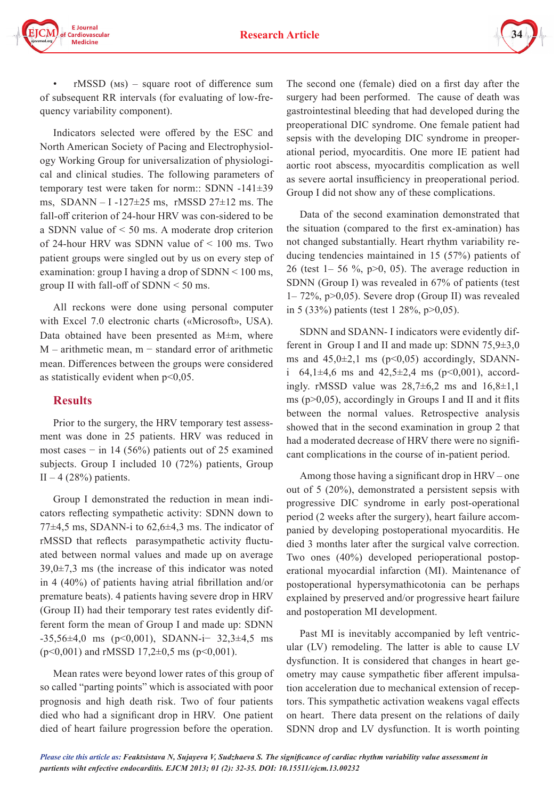



 $rMSSD$  (Ms) – square root of difference sum of subsequent RR intervals (for evaluating of low-frequency variability component).

Indicators selected were offered by the ESC and North American Society of Pacing and Electrophysiology Working Group for universalization of physiological and clinical studies. The following parameters of temporary test were taken for norm:: SDNN -141±39 ms,  $SDANN - I -127 \pm 25$  ms, rMSSD 27 $\pm 12$  ms. The fall-off criterion of 24-hour HRV was con-sidered to be a SDNN value of < 50 ms. A moderate drop criterion of 24-hour HRV was SDNN value of < 100 ms. Two patient groups were singled out by us on every step of examination: group I having a drop of SDNN < 100 ms, group II with fall-off of SDNN < 50 ms.

All reckons were done using personal computer with Excel 7.0 electronic charts («Microsoft», USA). Data obtained have been presented as М±m, where  $M$  – arithmetic mean,  $m$  – standard error of arithmetic mean. Differences between the groups were considered as statistically evident when  $p<0,05$ .

# **Results**

Prior to the surgery, the HRV temporary test assessment was done in 25 patients. HRV was reduced in most cases  $-$  in 14 (56%) patients out of 25 examined subjects. Group I included 10 (72%) patients, Group II – 4 (28%) patients.

Group I demonstrated the reduction in mean indicators reflecting sympathetic activity: SDNN down to 77 $\pm$ 4,5 ms, SDANN-i to 62,6 $\pm$ 4,3 ms. The indicator of rMSSD that reflects parasympathetic activity fluctuated between normal values and made up on average  $39,0\pm7,3$  ms (the increase of this indicator was noted in 4 (40%) of patients having atrial fibrillation and/or premature beats). 4 patients having severe drop in HRV (Group II) had their temporary test rates evidently different form the mean of Group I and made up: SDNN -35,56±4,0 ms (р<0,001), SDANN-i− 32,3±4,5 ms  $(p<0,001)$  and rMSSD 17,2 $\pm$ 0,5 ms (p $<$ 0,001).

Mean rates were beyond lower rates of this group of so called "parting points" which is associated with poor prognosis and high death risk. Two of four patients died who had a significant drop in HRV. One patient died of heart failure progression before the operation.

The second one (female) died on a first day after the surgery had been performed. The cause of death was gastrointestinal bleeding that had developed during the preoperational DIC syndrome. One female patient had sepsis with the developing DIC syndrome in preoperational period, myocarditis. One more IE patient had aortic root abscess, myocarditis complication as well as severe aortal insufficiency in preoperational period. Group I did not show any of these complications.

Data of the second examination demonstrated that the situation (compared to the first ex-amination) has not changed substantially. Heart rhythm variability reducing tendencies maintained in 15 (57%) patients of 26 (test  $1-56\%$ , p $>0$ , 05). The average reduction in SDNN (Group I) was revealed in 67% of patients (test 1– 72%, р>0,05). Severe drop (Group II) was revealed in 5 (33%) patients (test 1 28%, р>0,05).

SDNN and SDANN- I indicators were evidently different in Group I and II and made up: SDNN  $75,9\pm3,0$ ms and  $45,0\pm2,1$  ms ( $p<0,05$ ) accordingly, SDANNi 64,1 $\pm$ 4,6 ms and 42,5 $\pm$ 2,4 ms (p<0,001), accordingly. rMSSD value was  $28,7\pm6,2$  ms and  $16,8\pm1,1$ ms ( $p>0,05$ ), accordingly in Groups I and II and it flits between the normal values. Retrospective analysis showed that in the second examination in group 2 that had a moderated decrease of HRV there were no significant complications in the course of in-patient period.

Among those having a significant drop in HRV – one out of 5 (20%), demonstrated a persistent sepsis with progressive DIC syndrome in early post-operational period (2 weeks after the surgery), heart failure accompanied by developing postoperational myocarditis. He died 3 months later after the surgical valve correction. Two ones (40%) developed perioperational postoperational myocardial infarction (MI). Maintenance of postoperational hypersymathicotonia can be perhaps explained by preserved and/or progressive heart failure and postoperation MI development.

Past MI is inevitably accompanied by left ventricular (LV) remodeling. The latter is able to cause LV dysfunction. It is considered that changes in heart geometry may cause sympathetic fiber afferent impulsation acceleration due to mechanical extension of receptors. This sympathetic activation weakens vagal effects on heart. There data present on the relations of daily SDNN drop and LV dysfunction. It is worth pointing